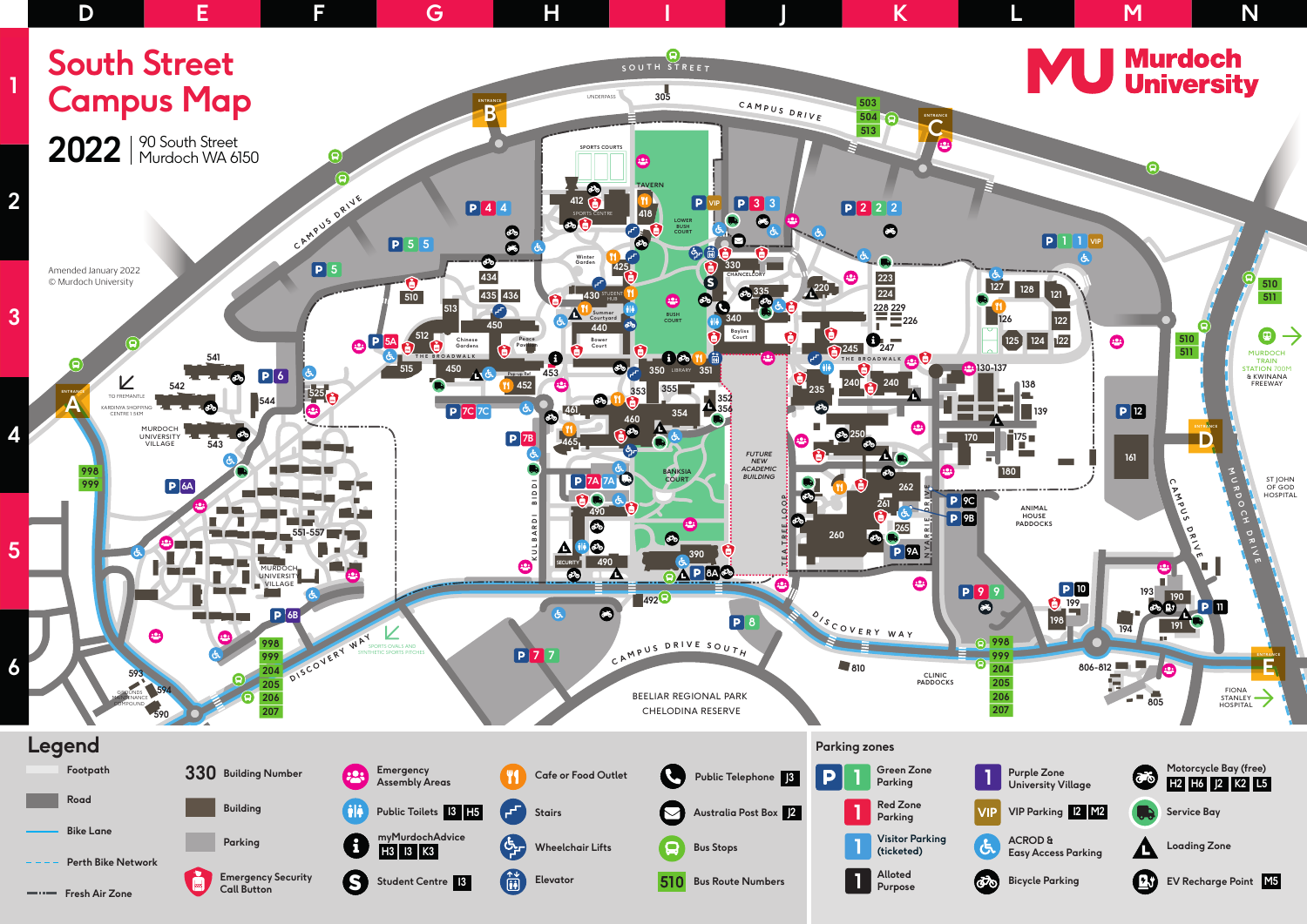